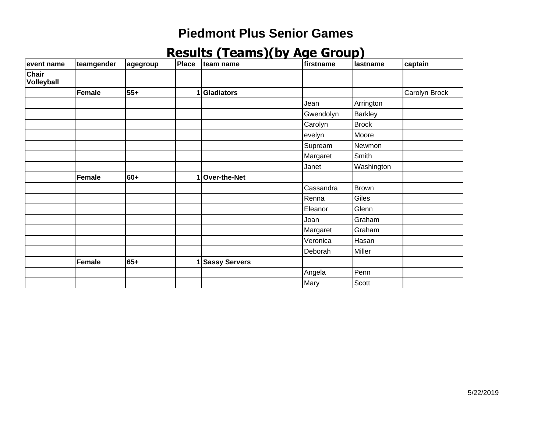| event name          | teamgender | agegroup | Place | lteam name           | firstname | lastname       | captain       |
|---------------------|------------|----------|-------|----------------------|-----------|----------------|---------------|
| Chair<br>Volleyball |            |          |       |                      |           |                |               |
|                     | Female     | $55+$    | 1     | Gladiators           |           |                | Carolyn Brock |
|                     |            |          |       |                      | Jean      | Arrington      |               |
|                     |            |          |       |                      | Gwendolyn | <b>Barkley</b> |               |
|                     |            |          |       |                      | Carolyn   | Brock          |               |
|                     |            |          |       |                      | evelyn    | Moore          |               |
|                     |            |          |       |                      | Supream   | Newmon         |               |
|                     |            |          |       |                      | Margaret  | Smith          |               |
|                     |            |          |       |                      | Janet     | Washington     |               |
|                     | Female     | $60+$    | 1     | Over-the-Net         |           |                |               |
|                     |            |          |       |                      | Cassandra | <b>Brown</b>   |               |
|                     |            |          |       |                      | Renna     | Giles          |               |
|                     |            |          |       |                      | Eleanor   | Glenn          |               |
|                     |            |          |       |                      | Joan      | Graham         |               |
|                     |            |          |       |                      | Margaret  | Graham         |               |
|                     |            |          |       |                      | Veronica  | Hasan          |               |
|                     |            |          |       |                      | Deborah   | Miller         |               |
|                     | Female     | $65+$    |       | <b>Sassy Servers</b> |           |                |               |
|                     |            |          |       |                      | Angela    | Penn           |               |
|                     |            |          |       |                      | Mary      | Scott          |               |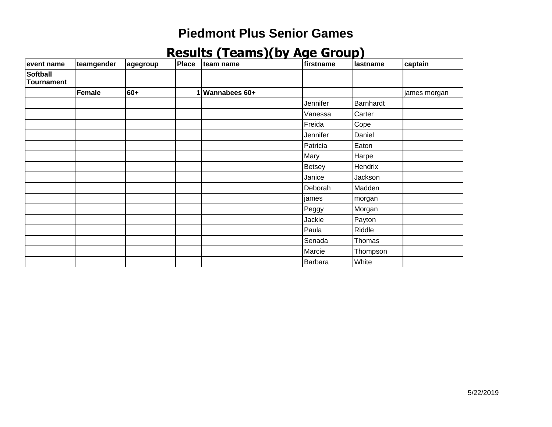| event name                           | teamgender | ∣agegroup | Place | team name     | firstname | <b>Iastname</b> | captain      |
|--------------------------------------|------------|-----------|-------|---------------|-----------|-----------------|--------------|
| <b>Softball</b><br><b>Tournament</b> |            |           |       |               |           |                 |              |
|                                      | Female     | 60+       | 1     | Wannabees 60+ |           |                 | james morgan |
|                                      |            |           |       |               | Jennifer  | Barnhardt       |              |
|                                      |            |           |       |               | Vanessa   | Carter          |              |
|                                      |            |           |       |               | Freida    | Cope            |              |
|                                      |            |           |       |               | Jennifer  | Daniel          |              |
|                                      |            |           |       |               | Patricia  | Eaton           |              |
|                                      |            |           |       |               | Mary      | Harpe           |              |
|                                      |            |           |       |               | Betsey    | Hendrix         |              |
|                                      |            |           |       |               | Janice    | Jackson         |              |
|                                      |            |           |       |               | Deborah   | Madden          |              |
|                                      |            |           |       |               | james     | morgan          |              |
|                                      |            |           |       |               | Peggy     | Morgan          |              |
|                                      |            |           |       |               | Jackie    | Payton          |              |
|                                      |            |           |       |               | Paula     | Riddle          |              |
|                                      |            |           |       |               | Senada    | Thomas          |              |
|                                      |            |           |       |               | Marcie    | Thompson        |              |
|                                      |            |           |       |               | Barbara   | White           |              |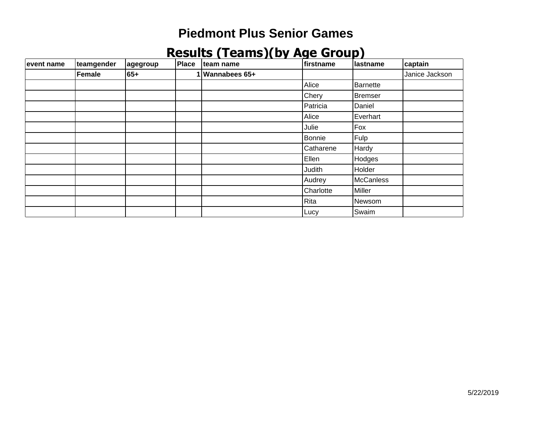| event name | teamgender | agegroup | Place | team name     | firstname | lastname        | captain        |
|------------|------------|----------|-------|---------------|-----------|-----------------|----------------|
|            | Female     | 65+      |       | Wannabees 65+ |           |                 | Janice Jackson |
|            |            |          |       |               | Alice     | <b>Barnette</b> |                |
|            |            |          |       |               | Chery     | <b>Bremser</b>  |                |
|            |            |          |       |               | Patricia  | Daniel          |                |
|            |            |          |       |               | Alice     | Everhart        |                |
|            |            |          |       |               | Julie     | Fox             |                |
|            |            |          |       |               | Bonnie    | Fulp            |                |
|            |            |          |       |               | Catharene | Hardy           |                |
|            |            |          |       |               | Ellen     | Hodges          |                |
|            |            |          |       |               | Judith    | Holder          |                |
|            |            |          |       |               | Audrey    | McCanless       |                |
|            |            |          |       |               | Charlotte | Miller          |                |
|            |            |          |       |               | Rita      | Newsom          |                |
|            |            |          |       |               | Lucy      | Swaim           |                |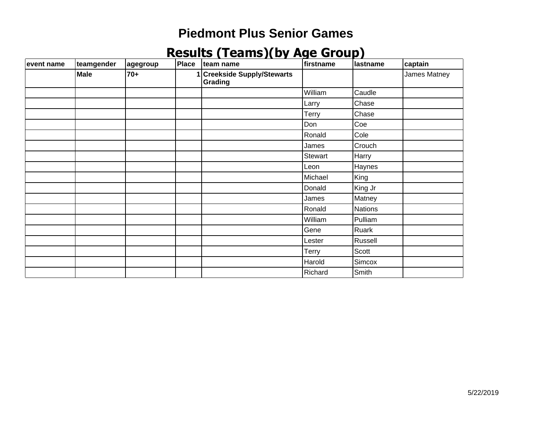| event name | teamgender | agegroup | Place | team name                              | firstname | <b>Iastname</b> | captain      |
|------------|------------|----------|-------|----------------------------------------|-----------|-----------------|--------------|
|            | Male       | $70+$    |       | 1 Creekside Supply/Stewarts<br>Grading |           |                 | James Matney |
|            |            |          |       |                                        | William   | Caudle          |              |
|            |            |          |       |                                        | Larry     | Chase           |              |
|            |            |          |       |                                        | Terry     | Chase           |              |
|            |            |          |       |                                        | Don       | Coe             |              |
|            |            |          |       |                                        | Ronald    | Cole            |              |
|            |            |          |       |                                        | James     | Crouch          |              |
|            |            |          |       |                                        | Stewart   | Harry           |              |
|            |            |          |       |                                        | Leon      | Haynes          |              |
|            |            |          |       |                                        | Michael   | King            |              |
|            |            |          |       |                                        | Donald    | King Jr         |              |
|            |            |          |       |                                        | James     | Matney          |              |
|            |            |          |       |                                        | Ronald    | <b>Nations</b>  |              |
|            |            |          |       |                                        | William   | Pulliam         |              |
|            |            |          |       |                                        | Gene      | Ruark           |              |
|            |            |          |       |                                        | Lester    | Russell         |              |
|            |            |          |       |                                        | Terry     | Scott           |              |
|            |            |          |       |                                        | Harold    | Simcox          |              |
|            |            |          |       |                                        | Richard   | Smith           |              |